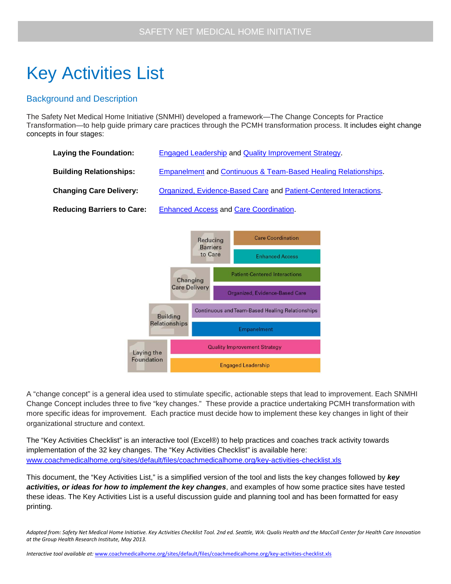## Key Activities List

## Background and Description

The Safety Net Medical Home Initiative (SNMHI) developed a framework—The Change Concepts for Practice Transformation—to help guide primary care practices through the PCMH transformation process. It includes eight change concepts in four stages:

| Engaged Leadership and Quality Improvement Strategy.              |
|-------------------------------------------------------------------|
| Empanelment and Continuous & Team-Based Healing Relationships.    |
| Organized, Evidence-Based Care and Patient-Centered Interactions. |
| <b>Enhanced Access and Care Coordination.</b>                     |
|                                                                   |



A "change concept" is a general idea used to stimulate specific, actionable steps that lead to improvement. Each SNMHI Change Concept includes three to five "key changes." These provide a practice undertaking PCMH transformation with more specific ideas for improvement. Each practice must decide how to implement these key changes in light of their organizational structure and context.

The "Key Activities Checklist" is an interactive tool (Excel®) to help practices and coaches track activity towards implementation of the 32 key changes. The "Key Activities Checklist" is available here: [www.coachmedicalhome.org/sites/default/files/coachmedicalhome.org/key-activities-checklist.xls](http://www.coachmedicalhome.org/sites/default/files/coachmedicalhome.org/key-activities-checklist.xls)

This document, the "Key Activities List," is a simplified version of the tool and lists the key changes followed by *key activities, or ideas for how to implement the key changes*, and examples of how some practice sites have tested these ideas. The Key Activities List is a useful discussion guide and planning tool and has been formatted for easy printing.

*Adapted from: Safety Net Medical Home Initiative. Key Activities Checklist Tool. 2nd ed. Seattle, WA: Qualis Health and the MacColl Center for Health Care Innovation at the Group Health Research Institute, May 2013.*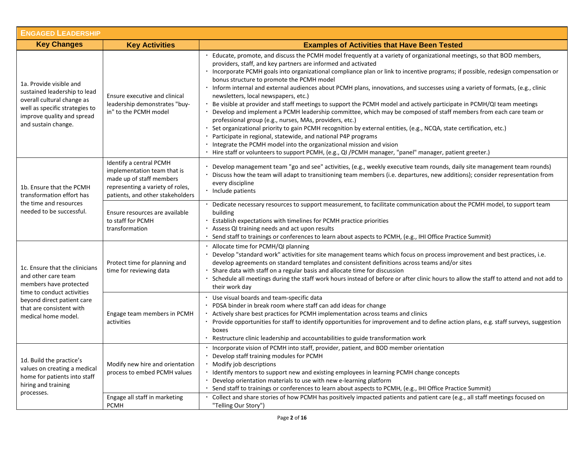| <b>ENGAGED LEADERSHIP</b>                                                                                                                                                                      |                                                                                                                                                            |                                                                                                                                                                                                                                                                                                                                                                                                                                                                                                                                                                                                                                                                                                                                                                                                                                                                                                                                                                                                                                                                                                                                                                                                                                    |
|------------------------------------------------------------------------------------------------------------------------------------------------------------------------------------------------|------------------------------------------------------------------------------------------------------------------------------------------------------------|------------------------------------------------------------------------------------------------------------------------------------------------------------------------------------------------------------------------------------------------------------------------------------------------------------------------------------------------------------------------------------------------------------------------------------------------------------------------------------------------------------------------------------------------------------------------------------------------------------------------------------------------------------------------------------------------------------------------------------------------------------------------------------------------------------------------------------------------------------------------------------------------------------------------------------------------------------------------------------------------------------------------------------------------------------------------------------------------------------------------------------------------------------------------------------------------------------------------------------|
| <b>Key Changes</b>                                                                                                                                                                             | <b>Key Activities</b>                                                                                                                                      | <b>Examples of Activities that Have Been Tested</b>                                                                                                                                                                                                                                                                                                                                                                                                                                                                                                                                                                                                                                                                                                                                                                                                                                                                                                                                                                                                                                                                                                                                                                                |
| 1a. Provide visible and<br>sustained leadership to lead<br>overall cultural change as<br>well as specific strategies to<br>improve quality and spread<br>and sustain change.                   | Ensure executive and clinical<br>leadership demonstrates "buy-<br>in" to the PCMH model                                                                    | Educate, promote, and discuss the PCMH model frequently at a variety of organizational meetings, so that BOD members,<br>providers, staff, and key partners are informed and activated<br>· Incorporate PCMH goals into organizational compliance plan or link to incentive programs; if possible, redesign compensation or<br>bonus structure to promote the PCMH model<br>Inform internal and external audiences about PCMH plans, innovations, and successes using a variety of formats, (e.g., clinic<br>newsletters, local newspapers, etc.)<br>Be visible at provider and staff meetings to support the PCMH model and actively participate in PCMH/QI team meetings<br>Develop and implement a PCMH leadership committee, which may be composed of staff members from each care team or<br>professional group (e.g., nurses, MAs, providers, etc.)<br>Set organizational priority to gain PCMH recognition by external entities, (e.g., NCQA, state certification, etc.)<br>Participate in regional, statewide, and national P4P programs<br>Integrate the PCMH model into the organizational mission and vision<br>· Hire staff or volunteers to support PCMH, (e.g., QI /PCMH manager, "panel" manager, patient greeter.) |
| 1b. Ensure that the PCMH<br>transformation effort has<br>the time and resources<br>needed to be successful.                                                                                    | Identify a central PCMH<br>implementation team that is<br>made up of staff members<br>representing a variety of roles,<br>patients, and other stakeholders | Develop management team "go and see" activities, (e.g., weekly executive team rounds, daily site management team rounds)<br>Discuss how the team will adapt to transitioning team members (i.e. departures, new additions); consider representation from<br>every discipline<br>Include patients                                                                                                                                                                                                                                                                                                                                                                                                                                                                                                                                                                                                                                                                                                                                                                                                                                                                                                                                   |
|                                                                                                                                                                                                | Ensure resources are available<br>to staff for PCMH<br>transformation                                                                                      | Dedicate necessary resources to support measurement, to facilitate communication about the PCMH model, to support team<br>building<br>Establish expectations with timelines for PCMH practice priorities<br>Assess QI training needs and act upon results<br>Send staff to trainings or conferences to learn about aspects to PCMH, (e.g., IHI Office Practice Summit)                                                                                                                                                                                                                                                                                                                                                                                                                                                                                                                                                                                                                                                                                                                                                                                                                                                             |
| 1c. Ensure that the clinicians<br>and other care team<br>members have protected<br>time to conduct activities<br>beyond direct patient care<br>that are consistent with<br>medical home model. | Protect time for planning and<br>time for reviewing data                                                                                                   | $\blacksquare$<br>Allocate time for PCMH/QI planning<br>Develop "standard work" activities for site management teams which focus on process improvement and best practices, i.e.<br>develop agreements on standard templates and consistent definitions across teams and/or sites<br>Share data with staff on a regular basis and allocate time for discussion<br>Schedule all meetings during the staff work hours instead of before or after clinic hours to allow the staff to attend and not add to<br>their work day                                                                                                                                                                                                                                                                                                                                                                                                                                                                                                                                                                                                                                                                                                          |
|                                                                                                                                                                                                | Engage team members in PCMH<br>activities                                                                                                                  | Use visual boards and team-specific data<br>PDSA binder in break room where staff can add ideas for change<br>Actively share best practices for PCMH implementation across teams and clinics<br>Provide opportunities for staff to identify opportunities for improvement and to define action plans, e.g. staff surveys, suggestion<br>boxes<br>Restructure clinic leadership and accountabilities to guide transformation work                                                                                                                                                                                                                                                                                                                                                                                                                                                                                                                                                                                                                                                                                                                                                                                                   |
| 1d. Build the practice's<br>values on creating a medical<br>home for patients into staff<br>hiring and training<br>processes.                                                                  | Modify new hire and orientation<br>process to embed PCMH values                                                                                            | Incorporate vision of PCMH into staff, provider, patient, and BOD member orientation<br>Develop staff training modules for PCMH<br>Modify job descriptions<br>• Identify mentors to support new and existing employees in learning PCMH change concepts<br>Develop orientation materials to use with new e-learning platform<br>Send staff to trainings or conferences to learn about aspects to PCMH, (e.g., IHI Office Practice Summit)                                                                                                                                                                                                                                                                                                                                                                                                                                                                                                                                                                                                                                                                                                                                                                                          |
|                                                                                                                                                                                                | Engage all staff in marketing<br><b>PCMH</b>                                                                                                               | Collect and share stories of how PCMH has positively impacted patients and patient care (e.g., all staff meetings focused on<br>"Telling Our Story")                                                                                                                                                                                                                                                                                                                                                                                                                                                                                                                                                                                                                                                                                                                                                                                                                                                                                                                                                                                                                                                                               |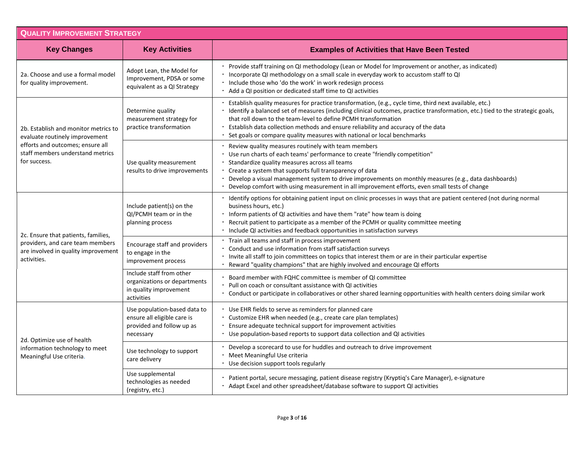| <b>QUALITY IMPROVEMENT STRATEGY</b>                                                                                                                            |                                                                                                       |                                                                                                                                                                                                                                                                                                                                                                                                                                                                           |
|----------------------------------------------------------------------------------------------------------------------------------------------------------------|-------------------------------------------------------------------------------------------------------|---------------------------------------------------------------------------------------------------------------------------------------------------------------------------------------------------------------------------------------------------------------------------------------------------------------------------------------------------------------------------------------------------------------------------------------------------------------------------|
| <b>Key Changes</b>                                                                                                                                             | <b>Key Activities</b>                                                                                 | <b>Examples of Activities that Have Been Tested</b>                                                                                                                                                                                                                                                                                                                                                                                                                       |
| 2a. Choose and use a formal model<br>for quality improvement.                                                                                                  | Adopt Lean, the Model for<br>Improvement, PDSA or some<br>equivalent as a QI Strategy                 | Provide staff training on QI methodology (Lean or Model for Improvement or another, as indicated)<br>Incorporate QI methodology on a small scale in everyday work to accustom staff to QI<br>Include those who 'do the work' in work redesign process<br>Add a QI position or dedicated staff time to QI activities                                                                                                                                                       |
| 2b. Establish and monitor metrics to<br>evaluate routinely improvement<br>efforts and outcomes; ensure all<br>staff members understand metrics<br>for success. | Determine quality<br>measurement strategy for<br>practice transformation                              | Establish quality measures for practice transformation, (e.g., cycle time, third next available, etc.)<br>Identify a balanced set of measures (including clinical outcomes, practice transformation, etc.) tied to the strategic goals,<br>that roll down to the team-level to define PCMH transformation<br>Establish data collection methods and ensure reliability and accuracy of the data<br>Set goals or compare quality measures with national or local benchmarks |
|                                                                                                                                                                | Use quality measurement<br>results to drive improvements                                              | Review quality measures routinely with team members<br>Use run charts of each teams' performance to create "friendly competition"<br>Standardize quality measures across all teams<br>Create a system that supports full transparency of data<br>Develop a visual management system to drive improvements on monthly measures (e.g., data dashboards)<br>Develop comfort with using measurement in all improvement efforts, even small tests of change                    |
| 2c. Ensure that patients, families,<br>providers, and care team members<br>are involved in quality improvement<br>activities.                                  | Include patient(s) on the<br>QI/PCMH team or in the<br>planning process                               | Identify options for obtaining patient input on clinic processes in ways that are patient centered (not during normal<br>business hours, etc.)<br>Inform patients of QI activities and have them "rate" how team is doing<br>Recruit patient to participate as a member of the PCMH or quality committee meeting<br>Include QI activities and feedback opportunities in satisfaction surveys                                                                              |
|                                                                                                                                                                | Encourage staff and providers<br>to engage in the<br>improvement process                              | Train all teams and staff in process improvement<br>Conduct and use information from staff satisfaction surveys<br>Invite all staff to join committees on topics that interest them or are in their particular expertise<br>Reward "quality champions" that are highly involved and encourage QI efforts                                                                                                                                                                  |
|                                                                                                                                                                | Include staff from other<br>organizations or departments<br>in quality improvement<br>activities      | Board member with FQHC committee is member of QI committee<br>Pull on coach or consultant assistance with QI activities<br>Conduct or participate in collaboratives or other shared learning opportunities with health centers doing similar work                                                                                                                                                                                                                         |
| 2d. Optimize use of health<br>information technology to meet<br>Meaningful Use criteria.                                                                       | Use population-based data to<br>ensure all eligible care is<br>provided and follow up as<br>necessary | Use EHR fields to serve as reminders for planned care<br>Customize EHR when needed (e.g., create care plan templates)<br>Ensure adequate technical support for improvement activities<br>Use population-based reports to support data collection and QI activities                                                                                                                                                                                                        |
|                                                                                                                                                                | Use technology to support<br>care delivery                                                            | Develop a scorecard to use for huddles and outreach to drive improvement<br>Meet Meaningful Use criteria<br>Use decision support tools regularly                                                                                                                                                                                                                                                                                                                          |
|                                                                                                                                                                | Use supplemental<br>technologies as needed<br>(registry, etc.)                                        | Patient portal, secure messaging, patient disease registry (Kryptiq's Care Manager), e-signature<br>Adapt Excel and other spreadsheet/database software to support QI activities                                                                                                                                                                                                                                                                                          |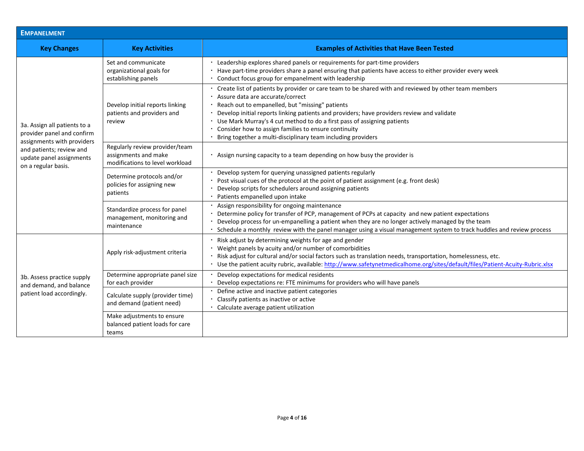| EMPANELMENT                                                                                                                                                             |                                                                                           |                                                                                                                                                                                                                                                                                                                                                                                                                                                                                               |  |
|-------------------------------------------------------------------------------------------------------------------------------------------------------------------------|-------------------------------------------------------------------------------------------|-----------------------------------------------------------------------------------------------------------------------------------------------------------------------------------------------------------------------------------------------------------------------------------------------------------------------------------------------------------------------------------------------------------------------------------------------------------------------------------------------|--|
| <b>Key Changes</b>                                                                                                                                                      | <b>Key Activities</b>                                                                     | <b>Examples of Activities that Have Been Tested</b>                                                                                                                                                                                                                                                                                                                                                                                                                                           |  |
| 3a. Assign all patients to a<br>provider panel and confirm<br>assignments with providers<br>and patients; review and<br>update panel assignments<br>on a regular basis. | Set and communicate<br>organizational goals for<br>establishing panels                    | Leadership explores shared panels or requirements for part-time providers<br>Have part-time providers share a panel ensuring that patients have access to either provider every week<br>Conduct focus group for empanelment with leadership                                                                                                                                                                                                                                                   |  |
|                                                                                                                                                                         | Develop initial reports linking<br>patients and providers and<br>review                   | Create list of patients by provider or care team to be shared with and reviewed by other team members<br>Assure data are accurate/correct<br>Reach out to empanelled, but "missing" patients<br>Develop initial reports linking patients and providers; have providers review and validate<br>Use Mark Murray's 4 cut method to do a first pass of assigning patients<br>Consider how to assign families to ensure continuity<br>Bring together a multi-disciplinary team including providers |  |
|                                                                                                                                                                         | Regularly review provider/team<br>assignments and make<br>modifications to level workload | Assign nursing capacity to a team depending on how busy the provider is                                                                                                                                                                                                                                                                                                                                                                                                                       |  |
|                                                                                                                                                                         | Determine protocols and/or<br>policies for assigning new<br>patients                      | Develop system for querying unassigned patients regularly<br>Post visual cues of the protocol at the point of patient assignment (e.g. front desk)<br>Develop scripts for schedulers around assigning patients<br>Patients empanelled upon intake                                                                                                                                                                                                                                             |  |
|                                                                                                                                                                         | Standardize process for panel<br>management, monitoring and<br>maintenance                | Assign responsibility for ongoing maintenance<br>Determine policy for transfer of PCP, management of PCPs at capacity and new patient expectations<br>Develop process for un-empanelling a patient when they are no longer actively managed by the team<br>Schedule a monthly review with the panel manager using a visual management system to track huddles and review process                                                                                                              |  |
| 3b. Assess practice supply<br>and demand, and balance<br>patient load accordingly.                                                                                      | Apply risk-adjustment criteria                                                            | Risk adjust by determining weights for age and gender<br>Weight panels by acuity and/or number of comorbidities<br>Risk adjust for cultural and/or social factors such as translation needs, transportation, homelessness, etc.<br>Use the patient acuity rubric, available: http://www.safetynetmedicalhome.org/sites/default/files/Patient-Acuity-Rubric.xlsx                                                                                                                               |  |
|                                                                                                                                                                         | Determine appropriate panel size<br>for each provider                                     | Develop expectations for medical residents<br>Develop expectations re: FTE minimums for providers who will have panels                                                                                                                                                                                                                                                                                                                                                                        |  |
|                                                                                                                                                                         | Calculate supply (provider time)<br>and demand (patient need)                             | Define active and inactive patient categories<br>Classify patients as inactive or active<br>Calculate average patient utilization                                                                                                                                                                                                                                                                                                                                                             |  |
|                                                                                                                                                                         | Make adjustments to ensure<br>balanced patient loads for care<br>teams                    |                                                                                                                                                                                                                                                                                                                                                                                                                                                                                               |  |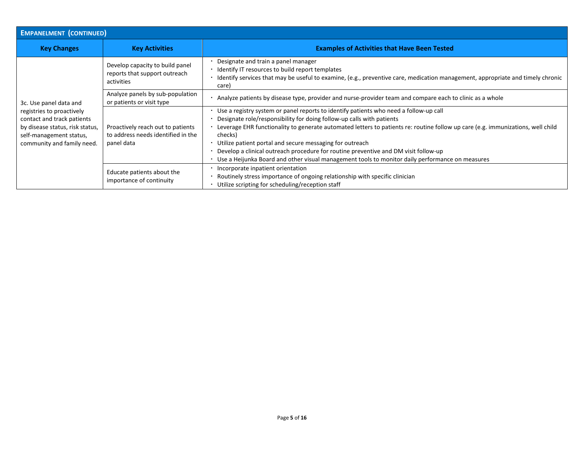| <b>EMPANELMENT (CONTINUED)</b>                                                                                                                                                |                                                                                       |                                                                                                                                                                                                                                                                                                                                                                                                                                                                                                                                                                    |
|-------------------------------------------------------------------------------------------------------------------------------------------------------------------------------|---------------------------------------------------------------------------------------|--------------------------------------------------------------------------------------------------------------------------------------------------------------------------------------------------------------------------------------------------------------------------------------------------------------------------------------------------------------------------------------------------------------------------------------------------------------------------------------------------------------------------------------------------------------------|
| <b>Key Changes</b>                                                                                                                                                            | <b>Key Activities</b>                                                                 | <b>Examples of Activities that Have Been Tested</b>                                                                                                                                                                                                                                                                                                                                                                                                                                                                                                                |
| 3c. Use panel data and<br>registries to proactively<br>contact and track patients<br>by disease status, risk status,<br>self-management status,<br>community and family need. | Develop capacity to build panel<br>reports that support outreach<br>activities        | Designate and train a panel manager<br>Identify IT resources to build report templates<br>Identify services that may be useful to examine, (e.g., preventive care, medication management, appropriate and timely chronic<br>care)                                                                                                                                                                                                                                                                                                                                  |
|                                                                                                                                                                               | Analyze panels by sub-population<br>or patients or visit type                         | Analyze patients by disease type, provider and nurse-provider team and compare each to clinic as a whole                                                                                                                                                                                                                                                                                                                                                                                                                                                           |
|                                                                                                                                                                               | Proactively reach out to patients<br>to address needs identified in the<br>panel data | Use a registry system or panel reports to identify patients who need a follow-up call<br>Designate role/responsibility for doing follow-up calls with patients<br>Leverage EHR functionality to generate automated letters to patients re: routine follow up care (e.g. immunizations, well child<br>checks)<br>Utilize patient portal and secure messaging for outreach<br>Develop a clinical outreach procedure for routine preventive and DM visit follow-up<br>Use a Heijunka Board and other visual management tools to monitor daily performance on measures |
|                                                                                                                                                                               | Educate patients about the<br>importance of continuity                                | Incorporate inpatient orientation<br>Routinely stress importance of ongoing relationship with specific clinician<br>Utilize scripting for scheduling/reception staff                                                                                                                                                                                                                                                                                                                                                                                               |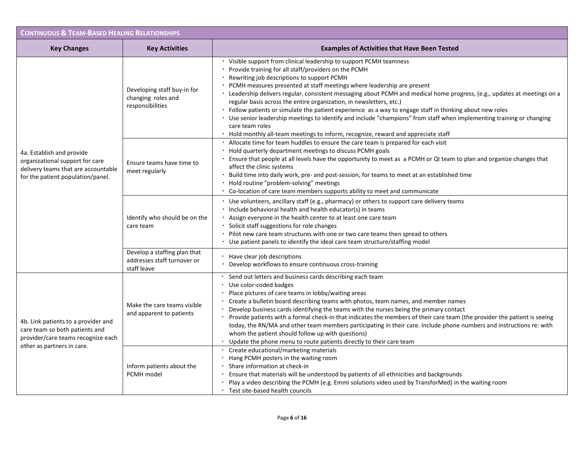| <b>CONTINUOUS &amp; TEAM-BASED HEALING RELATIONSHIPS</b>                                                                                                                                                                                                                              |                                                                            |                                                                                                                                                                                                                                                                                                                                                                                                                                                                                                                                                                                                                                                                                                                                                                                                   |
|---------------------------------------------------------------------------------------------------------------------------------------------------------------------------------------------------------------------------------------------------------------------------------------|----------------------------------------------------------------------------|---------------------------------------------------------------------------------------------------------------------------------------------------------------------------------------------------------------------------------------------------------------------------------------------------------------------------------------------------------------------------------------------------------------------------------------------------------------------------------------------------------------------------------------------------------------------------------------------------------------------------------------------------------------------------------------------------------------------------------------------------------------------------------------------------|
| <b>Key Changes</b>                                                                                                                                                                                                                                                                    | <b>Key Activities</b>                                                      | <b>Examples of Activities that Have Been Tested</b>                                                                                                                                                                                                                                                                                                                                                                                                                                                                                                                                                                                                                                                                                                                                               |
| 4a. Establish and provide<br>organizational support for care<br>delivery teams that are accountable<br>for the patient population/panel.<br>4b. Link patients to a provider and<br>care team so both patients and<br>provider/care teams recognize each<br>other as partners in care. | Developing staff buy-in for<br>changing roles and<br>responsibilities      | Visible support from clinical leadership to support PCMH teamness<br>Provide training for all staff/providers on the PCMH<br>Rewriting job descriptions to support PCMH<br>PCMH measures presented at staff meetings where leadership are present<br>· Leadership delivers regular, consistent messaging about PCMH and medical home progress, (e.g., updates at meetings on a<br>regular basis across the entire organization, in newsletters, etc.)<br>Follow patients or simulate the patient experience as a way to engage staff in thinking about new roles<br>· Use senior leadership meetings to identify and include "champions" from staff when implementing training or changing<br>care team roles<br>Hold monthly all-team meetings to inform, recognize, reward and appreciate staff |
|                                                                                                                                                                                                                                                                                       | Ensure teams have time to<br>meet regularly                                | Allocate time for team huddles to ensure the care team is prepared for each visit<br>Hold quarterly department meetings to discuss PCMH goals<br>Ensure that people at all levels have the opportunity to meet as a PCMH or QI team to plan and organize changes that<br>affect the clinic systems<br>Build time into daily work, pre- and post-session, for teams to meet at an established time<br>Hold routine "problem-solving" meetings<br>Co-location of care team members supports ability to meet and communicate                                                                                                                                                                                                                                                                         |
|                                                                                                                                                                                                                                                                                       | Identify who should be on the<br>care team                                 | · Use volunteers, ancillary staff (e.g., pharmacy) or others to support care delivery teams<br>Include behavioral health and health educator(s) in teams<br>Assign everyone in the health center to at least one care team<br>· Solicit staff suggestions for role changes<br>Pilot new care team structures with one or two care teams then spread to others<br>Use patient panels to identify the ideal care team structure/staffing model                                                                                                                                                                                                                                                                                                                                                      |
|                                                                                                                                                                                                                                                                                       | Develop a staffing plan that<br>addresses staff turnover or<br>staff leave | Have clear job descriptions<br>Develop workflows to ensure continuous cross-training                                                                                                                                                                                                                                                                                                                                                                                                                                                                                                                                                                                                                                                                                                              |
|                                                                                                                                                                                                                                                                                       | Make the care teams visible<br>and apparent to patients                    | Send out letters and business cards describing each team<br>Use color-coded badges<br>Place pictures of care teams in lobby/waiting areas<br>Create a bulletin board describing teams with photos, team names, and member names<br>Develop business cards identifying the teams with the nurses being the primary contact<br>Provide patients with a formal check-in that indicates the members of their care team (the provider the patient is seeing<br>today, the RN/MA and other team members participating in their care. Include phone numbers and instructions re: with<br>whom the patient should follow up with questions)<br>Update the phone menu to route patients directly to their care team                                                                                        |
|                                                                                                                                                                                                                                                                                       | Inform patients about the<br>PCMH model                                    | Create educational/marketing materials<br>Hang PCMH posters in the waiting room<br>Share information at check-in<br>Ensure that materials will be understood by patients of all ethnicities and backgrounds<br>Play a video describing the PCMH (e.g. Emmi solutions video used by TransforMed) in the waiting room<br>· Test site-based health councils                                                                                                                                                                                                                                                                                                                                                                                                                                          |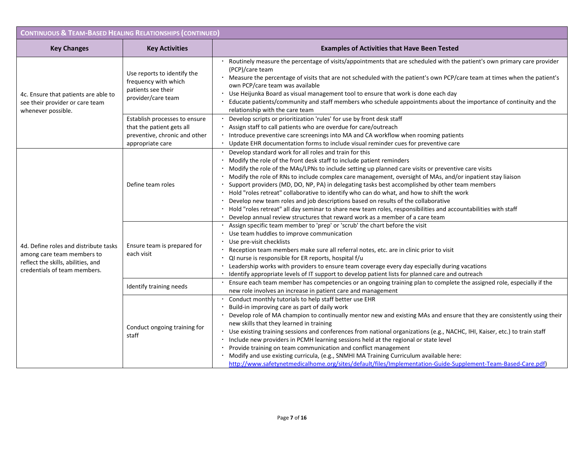| <b>CONTINUOUS &amp; TEAM-BASED HEALING RELATIONSHIPS (CONTINUED)</b>                                                                      |                                                                                                                 |                                                                                                                                                                                                                                                                                                                                                                                                                                                                                                                                                                                                                                                                                                                                                                                                                                             |  |
|-------------------------------------------------------------------------------------------------------------------------------------------|-----------------------------------------------------------------------------------------------------------------|---------------------------------------------------------------------------------------------------------------------------------------------------------------------------------------------------------------------------------------------------------------------------------------------------------------------------------------------------------------------------------------------------------------------------------------------------------------------------------------------------------------------------------------------------------------------------------------------------------------------------------------------------------------------------------------------------------------------------------------------------------------------------------------------------------------------------------------------|--|
| <b>Key Changes</b>                                                                                                                        | <b>Key Activities</b>                                                                                           | <b>Examples of Activities that Have Been Tested</b>                                                                                                                                                                                                                                                                                                                                                                                                                                                                                                                                                                                                                                                                                                                                                                                         |  |
| 4c. Ensure that patients are able to<br>see their provider or care team<br>whenever possible.                                             | Use reports to identify the<br>frequency with which<br>patients see their<br>provider/care team                 | Routinely measure the percentage of visits/appointments that are scheduled with the patient's own primary care provider<br>(PCP)/care team<br>Measure the percentage of visits that are not scheduled with the patient's own PCP/care team at times when the patient's<br>own PCP/care team was available<br>Use Heijunka Board as visual management tool to ensure that work is done each day<br>Educate patients/community and staff members who schedule appointments about the importance of continuity and the<br>relationship with the care team                                                                                                                                                                                                                                                                                      |  |
|                                                                                                                                           | Establish processes to ensure<br>that the patient gets all<br>preventive, chronic and other<br>appropriate care | Develop scripts or prioritization 'rules' for use by front desk staff<br>Assign staff to call patients who are overdue for care/outreach<br>Introduce preventive care screenings into MA and CA workflow when rooming patients<br>Update EHR documentation forms to include visual reminder cues for preventive care                                                                                                                                                                                                                                                                                                                                                                                                                                                                                                                        |  |
| 4d. Define roles and distribute tasks<br>among care team members to<br>reflect the skills, abilities, and<br>credentials of team members. | Define team roles                                                                                               | Develop standard work for all roles and train for this<br>Modify the role of the front desk staff to include patient reminders<br>Modify the role of the MAs/LPNs to include setting up planned care visits or preventive care visits<br>Modify the role of RNs to include complex care management, oversight of MAs, and/or inpatient stay liaison<br>Support providers (MD, DO, NP, PA) in delegating tasks best accomplished by other team members<br>. Hold "roles retreat" collaborative to identify who can do what, and how to shift the work<br>Develop new team roles and job descriptions based on results of the collaborative<br>Hold "roles retreat" all day seminar to share new team roles, responsibilities and accountabilities with staff<br>Develop annual review structures that reward work as a member of a care team |  |
|                                                                                                                                           | Ensure team is prepared for<br>each visit                                                                       | Assign specific team member to 'prep' or 'scrub' the chart before the visit<br>Use team huddles to improve communication<br>Use pre-visit checklists<br>Reception team members make sure all referral notes, etc. are in clinic prior to visit<br>QI nurse is responsible for ER reports, hospital f/u<br>Leadership works with providers to ensure team coverage every day especially during vacations<br>Identify appropriate levels of IT support to develop patient lists for planned care and outreach                                                                                                                                                                                                                                                                                                                                 |  |
|                                                                                                                                           | Identify training needs                                                                                         | Ensure each team member has competencies or an ongoing training plan to complete the assigned role, especially if the<br>new role involves an increase in patient care and management                                                                                                                                                                                                                                                                                                                                                                                                                                                                                                                                                                                                                                                       |  |
|                                                                                                                                           | Conduct ongoing training for<br>staff                                                                           | Conduct monthly tutorials to help staff better use EHR<br>Build-in improving care as part of daily work<br>Develop role of MA champion to continually mentor new and existing MAs and ensure that they are consistently using their<br>new skills that they learned in training<br>Use existing training sessions and conferences from national organizations (e.g., NACHC, IHI, Kaiser, etc.) to train staff<br>Include new providers in PCMH learning sessions held at the regional or state level<br>Provide training on team communication and conflict management<br>Modify and use existing curricula, (e.g., SNMHI MA Training Curriculum available here:<br>http://www.safetynetmedicalhome.org/sites/default/files/Implementation-Guide-Supplement-Team-Based-Care.pdf)                                                            |  |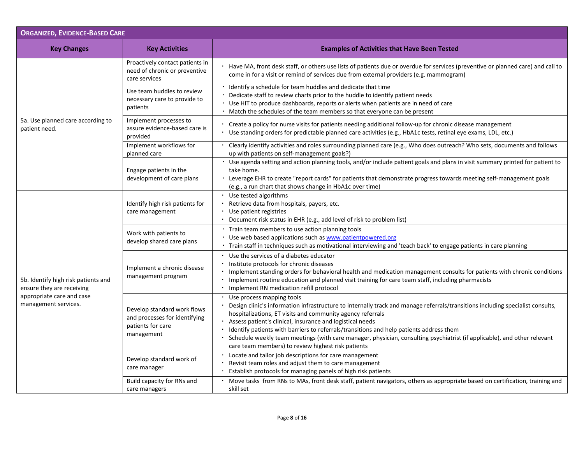| <b>ORGANIZED, EVIDENCE-BASED CARE</b>                                                                                 |                                                                                                 |                                                                                                                                                                                                                                                                                                                                                                                                                                                                                                                                                                       |
|-----------------------------------------------------------------------------------------------------------------------|-------------------------------------------------------------------------------------------------|-----------------------------------------------------------------------------------------------------------------------------------------------------------------------------------------------------------------------------------------------------------------------------------------------------------------------------------------------------------------------------------------------------------------------------------------------------------------------------------------------------------------------------------------------------------------------|
| <b>Key Changes</b>                                                                                                    | <b>Key Activities</b>                                                                           | <b>Examples of Activities that Have Been Tested</b>                                                                                                                                                                                                                                                                                                                                                                                                                                                                                                                   |
|                                                                                                                       | Proactively contact patients in<br>need of chronic or preventive<br>care services               | Have MA, front desk staff, or others use lists of patients due or overdue for services (preventive or planned care) and call to<br>come in for a visit or remind of services due from external providers (e.g. mammogram)                                                                                                                                                                                                                                                                                                                                             |
|                                                                                                                       | Use team huddles to review<br>necessary care to provide to<br>patients                          | Identify a schedule for team huddles and dedicate that time<br>Dedicate staff to review charts prior to the huddle to identify patient needs<br>Use HIT to produce dashboards, reports or alerts when patients are in need of care<br>Match the schedules of the team members so that everyone can be present                                                                                                                                                                                                                                                         |
| 5a. Use planned care according to<br>patient need.                                                                    | Implement processes to<br>assure evidence-based care is<br>provided                             | Create a policy for nurse visits for patients needing additional follow-up for chronic disease management<br>Use standing orders for predictable planned care activities (e.g., HbA1c tests, retinal eye exams, LDL, etc.)                                                                                                                                                                                                                                                                                                                                            |
|                                                                                                                       | Implement workflows for<br>planned care                                                         | Clearly identify activities and roles surrounding planned care (e.g., Who does outreach? Who sets, documents and follows<br>up with patients on self-management goals?)                                                                                                                                                                                                                                                                                                                                                                                               |
|                                                                                                                       | Engage patients in the<br>development of care plans                                             | Use agenda setting and action planning tools, and/or include patient goals and plans in visit summary printed for patient to<br>take home.<br>Leverage EHR to create "report cards" for patients that demonstrate progress towards meeting self-management goals<br>(e.g., a run chart that shows change in HbA1c over time)                                                                                                                                                                                                                                          |
| 5b. Identify high risk patients and<br>ensure they are receiving<br>appropriate care and case<br>management services. | Identify high risk patients for<br>care management                                              | · Use tested algorithms<br>Retrieve data from hospitals, payers, etc.<br>Use patient registries<br>Document risk status in EHR (e.g., add level of risk to problem list)                                                                                                                                                                                                                                                                                                                                                                                              |
|                                                                                                                       | Work with patients to<br>develop shared care plans                                              | · Train team members to use action planning tools<br>Use web based applications such as www.patientpowered.org<br>· Train staff in techniques such as motivational interviewing and 'teach back' to engage patients in care planning                                                                                                                                                                                                                                                                                                                                  |
|                                                                                                                       | Implement a chronic disease<br>management program                                               | Use the services of a diabetes educator<br>Institute protocols for chronic diseases<br>Implement standing orders for behavioral health and medication management consults for patients with chronic conditions<br>· Implement routine education and planned visit training for care team staff, including pharmacists<br>· Implement RN medication refill protocol                                                                                                                                                                                                    |
|                                                                                                                       | Develop standard work flows<br>and processes for identifying<br>patients for care<br>management | Use process mapping tools<br>Design clinic's information infrastructure to internally track and manage referrals/transitions including specialist consults,<br>hospitalizations, ET visits and community agency referrals<br>· Assess patient's clinical, insurance and logistical needs<br>Identify patients with barriers to referrals/transitions and help patients address them<br>Schedule weekly team meetings (with care manager, physician, consulting psychiatrist (if applicable), and other relevant<br>care team members) to review highest risk patients |
|                                                                                                                       | Develop standard work of<br>care manager                                                        | Locate and tailor job descriptions for care management<br>Revisit team roles and adjust them to care management<br>Establish protocols for managing panels of high risk patients                                                                                                                                                                                                                                                                                                                                                                                      |
|                                                                                                                       | Build capacity for RNs and<br>care managers                                                     | Move tasks from RNs to MAs, front desk staff, patient navigators, others as appropriate based on certification, training and<br>skill set                                                                                                                                                                                                                                                                                                                                                                                                                             |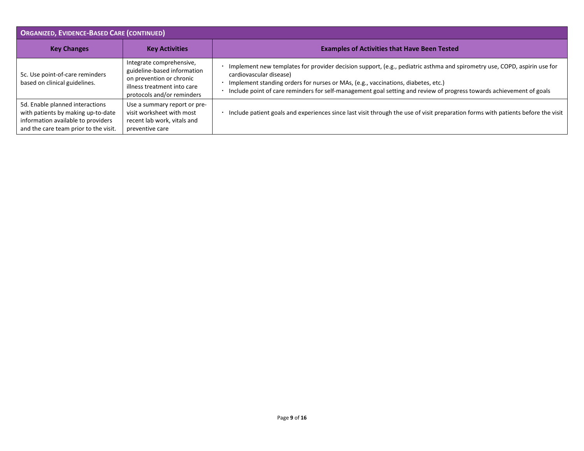| <b>ORGANIZED, EVIDENCE-BASED CARE (CONTINUED)</b>                                                                                                    |                                                                                                                                                  |                                                                                                                                                                                                                                                                                                                                                                  |
|------------------------------------------------------------------------------------------------------------------------------------------------------|--------------------------------------------------------------------------------------------------------------------------------------------------|------------------------------------------------------------------------------------------------------------------------------------------------------------------------------------------------------------------------------------------------------------------------------------------------------------------------------------------------------------------|
| <b>Key Changes</b>                                                                                                                                   | <b>Key Activities</b>                                                                                                                            | <b>Examples of Activities that Have Been Tested</b>                                                                                                                                                                                                                                                                                                              |
| 5c. Use point-of-care reminders<br>based on clinical guidelines.                                                                                     | Integrate comprehensive,<br>guideline-based information<br>on prevention or chronic<br>illness treatment into care<br>protocols and/or reminders | Implement new templates for provider decision support, (e.g., pediatric asthma and spirometry use, COPD, aspirin use for<br>cardiovascular disease)<br>Implement standing orders for nurses or MAs, (e.g., vaccinations, diabetes, etc.)<br>Include point of care reminders for self-management goal setting and review of progress towards achievement of goals |
| 5d. Enable planned interactions<br>with patients by making up-to-date<br>information available to providers<br>and the care team prior to the visit. | Use a summary report or pre-<br>visit worksheet with most<br>recent lab work, vitals and<br>preventive care                                      | Include patient goals and experiences since last visit through the use of visit preparation forms with patients before the visit                                                                                                                                                                                                                                 |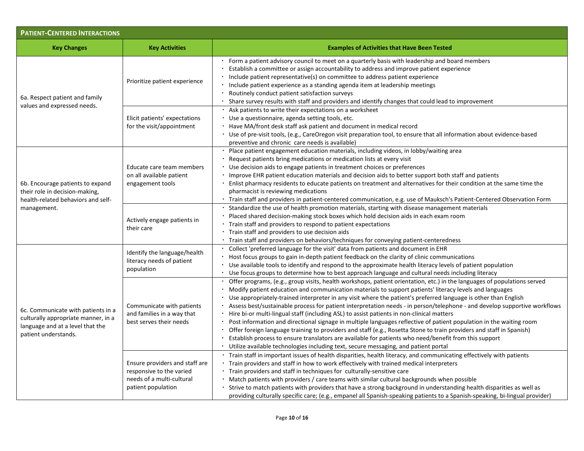| <b>PATIENT-CENTERED INTERACTIONS</b>                                                                                                  |                                                                                                               |                                                                                                                                                                                                                                                                                                                                                                                                                                                                                                                                                                                                                                                                                                                                                                                                                                                                                                                                                                                                                                 |
|---------------------------------------------------------------------------------------------------------------------------------------|---------------------------------------------------------------------------------------------------------------|---------------------------------------------------------------------------------------------------------------------------------------------------------------------------------------------------------------------------------------------------------------------------------------------------------------------------------------------------------------------------------------------------------------------------------------------------------------------------------------------------------------------------------------------------------------------------------------------------------------------------------------------------------------------------------------------------------------------------------------------------------------------------------------------------------------------------------------------------------------------------------------------------------------------------------------------------------------------------------------------------------------------------------|
| <b>Key Changes</b>                                                                                                                    | <b>Key Activities</b>                                                                                         | <b>Examples of Activities that Have Been Tested</b>                                                                                                                                                                                                                                                                                                                                                                                                                                                                                                                                                                                                                                                                                                                                                                                                                                                                                                                                                                             |
| 6a. Respect patient and family<br>values and expressed needs.                                                                         | Prioritize patient experience                                                                                 | Form a patient advisory council to meet on a quarterly basis with leadership and board members<br>Establish a committee or assign accountability to address and improve patient experience<br>Include patient representative(s) on committee to address patient experience<br>Include patient experience as a standing agenda item at leadership meetings<br>Routinely conduct patient satisfaction surveys<br>Share survey results with staff and providers and identify changes that could lead to improvement                                                                                                                                                                                                                                                                                                                                                                                                                                                                                                                |
|                                                                                                                                       | Elicit patients' expectations<br>for the visit/appointment                                                    | Ask patients to write their expectations on a worksheet<br>Use a questionnaire, agenda setting tools, etc.<br>· Have MA/front desk staff ask patient and document in medical record<br>· Use of pre-visit tools, (e.g., CareOregon visit preparation tool, to ensure that all information about evidence-based<br>preventive and chronic care needs is available)                                                                                                                                                                                                                                                                                                                                                                                                                                                                                                                                                                                                                                                               |
| 6b. Encourage patients to expand<br>their role in decision-making,<br>health-related behaviors and self-<br>management.               | Educate care team members<br>on all available patient<br>engagement tools                                     | · Place patient engagement education materials, including videos, in lobby/waiting area<br>· Request patients bring medications or medication lists at every visit<br>Use decision aids to engage patients in treatment choices or preferences<br>Improve EHR patient education materials and decision aids to better support both staff and patients<br>Enlist pharmacy residents to educate patients on treatment and alternatives for their condition at the same time the<br>pharmacist is reviewing medications<br>· Train staff and providers in patient-centered communication, e.g. use of Mauksch's Patient-Centered Observation Form                                                                                                                                                                                                                                                                                                                                                                                  |
|                                                                                                                                       | Actively engage patients in<br>their care                                                                     | Standardize the use of health promotion materials, starting with disease management materials<br>Placed shared decision-making stock boxes which hold decision aids in each exam room<br>Train staff and providers to respond to patient expectations<br>Train staff and providers to use decision aids<br>Train staff and providers on behaviors/techniques for conveying patient-centeredness                                                                                                                                                                                                                                                                                                                                                                                                                                                                                                                                                                                                                                 |
| 6c. Communicate with patients in a<br>culturally appropriate manner, in a<br>language and at a level that the<br>patient understands. | Identify the language/health<br>literacy needs of patient<br>population                                       | Collect 'preferred language for the visit' data from patients and document in EHR<br>Host focus groups to gain in-depth patient feedback on the clarity of clinic communications<br>Use available tools to identify and respond to the approximate health literacy levels of patient population<br>Use focus groups to determine how to best approach language and cultural needs including literacy                                                                                                                                                                                                                                                                                                                                                                                                                                                                                                                                                                                                                            |
|                                                                                                                                       | Communicate with patients<br>and families in a way that<br>best serves their needs                            | Offer programs, (e.g., group visits, health workshops, patient orientation, etc.) in the languages of populations served<br>Modify patient education and communication materials to support patients' literacy levels and languages<br>Use appropriately-trained interpreter in any visit where the patient's preferred language is other than English<br>Assess best/sustainable process for patient interpretation needs - in person/telephone - and develop supportive workflows<br>Hire bi-or multi-lingual staff (including ASL) to assist patients in non-clinical matters<br>Post information and directional signage in multiple languages reflective of patient population in the waiting room<br>Offer foreign language training to providers and staff (e.g., Rosetta Stone to train providers and staff in Spanish)<br>Establish process to ensure translators are available for patients who need/benefit from this support<br>Utilize available technologies including text, secure messaging, and patient portal |
|                                                                                                                                       | Ensure providers and staff are<br>responsive to the varied<br>needs of a multi-cultural<br>patient population | Train staff in important issues of health disparities, health literacy, and communicating effectively with patients<br>Train providers and staff in how to work effectively with trained medical interpreters<br>Train providers and staff in techniques for culturally-sensitive care<br>Match patients with providers / care teams with similar cultural backgrounds when possible<br>Strive to match patients with providers that have a strong background in understanding health disparities as well as<br>providing culturally specific care; (e.g., empanel all Spanish-speaking patients to a Spanish-speaking, bi-lingual provider)                                                                                                                                                                                                                                                                                                                                                                                    |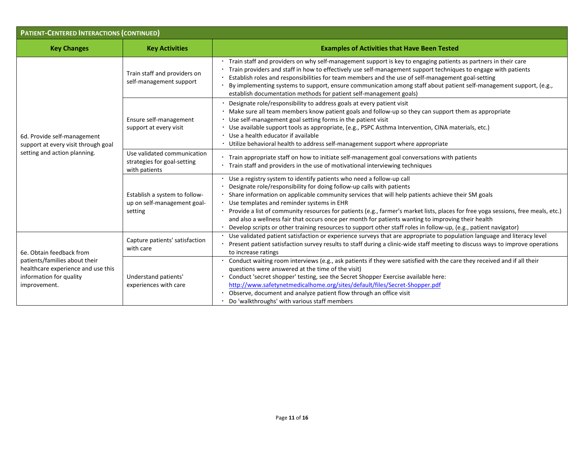| <b>PATIENT-CENTERED INTERACTIONS (CONTINUED)</b>                                                                                           |                                                                             |                                                                                                                                                                                                                                                                                                                                                                                                                                                                                                                                                                                                                                                                  |  |
|--------------------------------------------------------------------------------------------------------------------------------------------|-----------------------------------------------------------------------------|------------------------------------------------------------------------------------------------------------------------------------------------------------------------------------------------------------------------------------------------------------------------------------------------------------------------------------------------------------------------------------------------------------------------------------------------------------------------------------------------------------------------------------------------------------------------------------------------------------------------------------------------------------------|--|
| <b>Key Changes</b>                                                                                                                         | <b>Key Activities</b>                                                       | <b>Examples of Activities that Have Been Tested</b>                                                                                                                                                                                                                                                                                                                                                                                                                                                                                                                                                                                                              |  |
| 6d. Provide self-management<br>support at every visit through goal<br>setting and action planning.                                         | Train staff and providers on<br>self-management support                     | Train staff and providers on why self-management support is key to engaging patients as partners in their care<br>Train providers and staff in how to effectively use self-management support techniques to engage with patients<br>Establish roles and responsibilities for team members and the use of self-management goal-setting<br>By implementing systems to support, ensure communication among staff about patient self-management support, (e.g.,<br>establish documentation methods for patient self-management goals)                                                                                                                                |  |
|                                                                                                                                            | Ensure self-management<br>support at every visit                            | Designate role/responsibility to address goals at every patient visit<br>· Make sure all team members know patient goals and follow-up so they can support them as appropriate<br>Use self-management goal setting forms in the patient visit<br>Use available support tools as appropriate, (e.g., PSPC Asthma Intervention, CINA materials, etc.)<br>Use a health educator if available<br>• Utilize behavioral health to address self-management support where appropriate                                                                                                                                                                                    |  |
|                                                                                                                                            | Use validated communication<br>strategies for goal-setting<br>with patients | Train appropriate staff on how to initiate self-management goal conversations with patients<br>Train staff and providers in the use of motivational interviewing techniques                                                                                                                                                                                                                                                                                                                                                                                                                                                                                      |  |
|                                                                                                                                            | Establish a system to follow-<br>up on self-management goal-<br>setting     | Use a registry system to identify patients who need a follow-up call<br>Designate role/responsibility for doing follow-up calls with patients<br>Share information on applicable community services that will help patients achieve their SM goals<br>Use templates and reminder systems in EHR<br>· Provide a list of community resources for patients (e.g., farmer's market lists, places for free yoga sessions, free meals, etc.)<br>and also a wellness fair that occurs once per month for patients wanting to improving their health<br>Develop scripts or other training resources to support other staff roles in follow-up, (e.g., patient navigator) |  |
| 6e. Obtain feedback from<br>patients/families about their<br>healthcare experience and use this<br>information for quality<br>improvement. | Capture patients' satisfaction<br>with care                                 | Use validated patient satisfaction or experience surveys that are appropriate to population language and literacy level<br>Present patient satisfaction survey results to staff during a clinic-wide staff meeting to discuss ways to improve operations<br>to increase ratings                                                                                                                                                                                                                                                                                                                                                                                  |  |
|                                                                                                                                            | Understand patients'<br>experiences with care                               | Conduct waiting room interviews (e.g., ask patients if they were satisfied with the care they received and if all their<br>questions were answered at the time of the visit)<br>Conduct 'secret shopper' testing, see the Secret Shopper Exercise available here:<br>http://www.safetynetmedicalhome.org/sites/default/files/Secret-Shopper.pdf<br>Observe, document and analyze patient flow through an office visit<br>Do 'walkthroughs' with various staff members                                                                                                                                                                                            |  |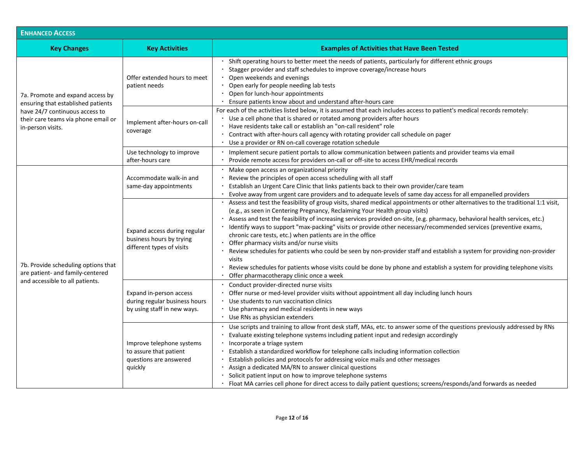| <b>ENHANCED ACCESS</b>                                                                                                                                               |                                                                                          |                                                                                                                                                                                                                                                                                                                                                                                                                                                                                                                                                                                                                                                                                                                                                                                                                                                                                           |
|----------------------------------------------------------------------------------------------------------------------------------------------------------------------|------------------------------------------------------------------------------------------|-------------------------------------------------------------------------------------------------------------------------------------------------------------------------------------------------------------------------------------------------------------------------------------------------------------------------------------------------------------------------------------------------------------------------------------------------------------------------------------------------------------------------------------------------------------------------------------------------------------------------------------------------------------------------------------------------------------------------------------------------------------------------------------------------------------------------------------------------------------------------------------------|
| <b>Key Changes</b>                                                                                                                                                   | <b>Key Activities</b>                                                                    | <b>Examples of Activities that Have Been Tested</b>                                                                                                                                                                                                                                                                                                                                                                                                                                                                                                                                                                                                                                                                                                                                                                                                                                       |
| 7a. Promote and expand access by<br>ensuring that established patients<br>have 24/7 continuous access to<br>their care teams via phone email or<br>in-person visits. | Offer extended hours to meet<br>patient needs                                            | Shift operating hours to better meet the needs of patients, particularly for different ethnic groups<br>Stagger provider and staff schedules to improve coverage/increase hours<br>Open weekends and evenings<br>• Open early for people needing lab tests<br>Open for lunch-hour appointments<br>Ensure patients know about and understand after-hours care                                                                                                                                                                                                                                                                                                                                                                                                                                                                                                                              |
|                                                                                                                                                                      | Implement after-hours on-call<br>coverage                                                | For each of the activities listed below, it is assumed that each includes access to patient's medical records remotely:<br>Use a cell phone that is shared or rotated among providers after hours<br>Have residents take call or establish an "on-call resident" role<br>• Contract with after-hours call agency with rotating provider call schedule on pager<br>Use a provider or RN on-call coverage rotation schedule                                                                                                                                                                                                                                                                                                                                                                                                                                                                 |
|                                                                                                                                                                      | Use technology to improve<br>after-hours care                                            | Implement secure patient portals to allow communication between patients and provider teams via email<br>Provide remote access for providers on-call or off-site to access EHR/medical records                                                                                                                                                                                                                                                                                                                                                                                                                                                                                                                                                                                                                                                                                            |
| 7b. Provide scheduling options that<br>are patient- and family-centered<br>and accessible to all patients.                                                           | Accommodate walk-in and<br>same-day appointments                                         | Make open access an organizational priority<br>Review the principles of open access scheduling with all staff<br>Establish an Urgent Care Clinic that links patients back to their own provider/care team<br>Evolve away from urgent care providers and to adequate levels of same day access for all empanelled providers                                                                                                                                                                                                                                                                                                                                                                                                                                                                                                                                                                |
|                                                                                                                                                                      | Expand access during regular<br>business hours by trying<br>different types of visits    | Assess and test the feasibility of group visits, shared medical appointments or other alternatives to the traditional 1:1 visit,<br>(e.g., as seen in Centering Pregnancy, Reclaiming Your Health group visits)<br>· Assess and test the feasibility of increasing services provided on-site, (e.g. pharmacy, behavioral health services, etc.)<br>Identify ways to support "max-packing" visits or provide other necessary/recommended services (preventive exams,<br>chronic care tests, etc.) when patients are in the office<br>Offer pharmacy visits and/or nurse visits<br>Review schedules for patients who could be seen by non-provider staff and establish a system for providing non-provider<br>visits<br>Review schedules for patients whose visits could be done by phone and establish a system for providing telephone visits<br>Offer pharmacotherapy clinic once a week |
|                                                                                                                                                                      | Expand in-person access<br>during regular business hours<br>by using staff in new ways.  | Conduct provider-directed nurse visits<br>Offer nurse or med-level provider visits without appointment all day including lunch hours<br>Use students to run vaccination clinics<br>Use pharmacy and medical residents in new ways<br>Use RNs as physician extenders                                                                                                                                                                                                                                                                                                                                                                                                                                                                                                                                                                                                                       |
|                                                                                                                                                                      | Improve telephone systems<br>to assure that patient<br>questions are answered<br>quickly | Use scripts and training to allow front desk staff, MAs, etc. to answer some of the questions previously addressed by RNs<br>Evaluate existing telephone systems including patient input and redesign accordingly<br>Incorporate a triage system<br>Establish a standardized workflow for telephone calls including information collection<br>Establish policies and protocols for addressing voice mails and other messages<br>Assign a dedicated MA/RN to answer clinical questions<br>Solicit patient input on how to improve telephone systems<br>Float MA carries cell phone for direct access to daily patient questions; screens/responds/and forwards as needed                                                                                                                                                                                                                   |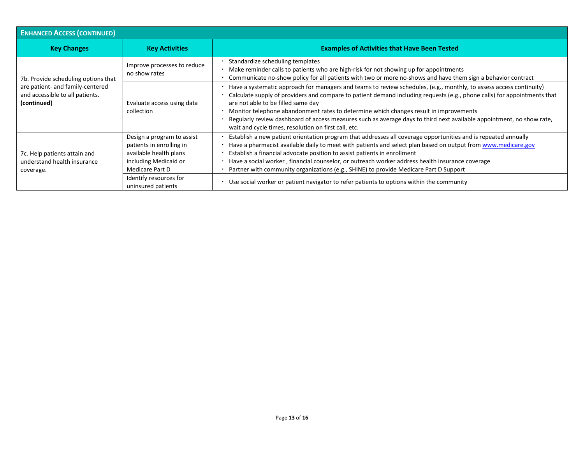| <b>ENHANCED ACCESS (CONTINUED)</b>                                                                                        |                                                                                                                                                                              |                                                                                                                                                                                                                                                                                                                                                                                                                                                                                                                                                                                                     |  |  |
|---------------------------------------------------------------------------------------------------------------------------|------------------------------------------------------------------------------------------------------------------------------------------------------------------------------|-----------------------------------------------------------------------------------------------------------------------------------------------------------------------------------------------------------------------------------------------------------------------------------------------------------------------------------------------------------------------------------------------------------------------------------------------------------------------------------------------------------------------------------------------------------------------------------------------------|--|--|
| <b>Key Changes</b>                                                                                                        | <b>Key Activities</b>                                                                                                                                                        | <b>Examples of Activities that Have Been Tested</b>                                                                                                                                                                                                                                                                                                                                                                                                                                                                                                                                                 |  |  |
| 7b. Provide scheduling options that<br>are patient- and family-centered<br>and accessible to all patients.<br>(continued) | Improve processes to reduce<br>no show rates                                                                                                                                 | Standardize scheduling templates<br>Make reminder calls to patients who are high-risk for not showing up for appointments<br>Communicate no-show policy for all patients with two or more no-shows and have them sign a behavior contract                                                                                                                                                                                                                                                                                                                                                           |  |  |
|                                                                                                                           | Evaluate access using data<br>collection                                                                                                                                     | Have a systematic approach for managers and teams to review schedules, (e.g., monthly, to assess access continuity)<br>Calculate supply of providers and compare to patient demand including requests (e.g., phone calls) for appointments that<br>are not able to be filled same day<br>Monitor telephone abandonment rates to determine which changes result in improvements<br>Regularly review dashboard of access measures such as average days to third next available appointment, no show rate,<br>wait and cycle times, resolution on first call, etc.                                     |  |  |
| 7c. Help patients attain and<br>understand health insurance<br>coverage.                                                  | Design a program to assist<br>patients in enrolling in<br>available health plans<br>including Medicaid or<br>Medicare Part D<br>Identify resources for<br>uninsured patients | Establish a new patient orientation program that addresses all coverage opportunities and is repeated annually<br>Have a pharmacist available daily to meet with patients and select plan based on output from www.medicare.gov<br>Establish a financial advocate position to assist patients in enrollment<br>Have a social worker, financial counselor, or outreach worker address health insurance coverage<br>Partner with community organizations (e.g., SHINE) to provide Medicare Part D Support<br>Use social worker or patient navigator to refer patients to options within the community |  |  |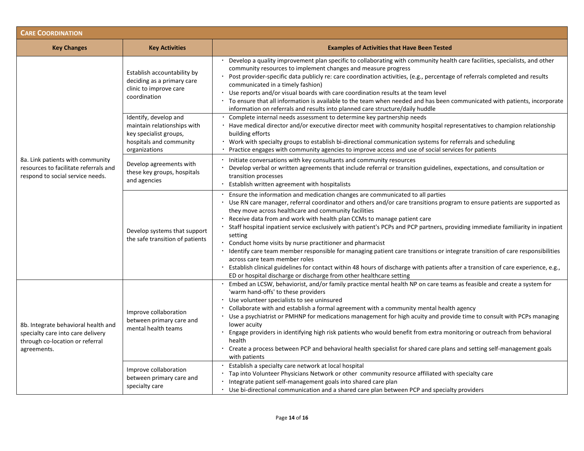| <b>CARE COORDINATION</b>                                                                                                   |                                                                                                                            |                                                                                                                                                                                                                                                                                                                                                                                                                                                                                                                                                                                                                                                                                                                                                                                                                                                                                                                                     |  |  |
|----------------------------------------------------------------------------------------------------------------------------|----------------------------------------------------------------------------------------------------------------------------|-------------------------------------------------------------------------------------------------------------------------------------------------------------------------------------------------------------------------------------------------------------------------------------------------------------------------------------------------------------------------------------------------------------------------------------------------------------------------------------------------------------------------------------------------------------------------------------------------------------------------------------------------------------------------------------------------------------------------------------------------------------------------------------------------------------------------------------------------------------------------------------------------------------------------------------|--|--|
| <b>Key Changes</b>                                                                                                         | <b>Key Activities</b>                                                                                                      | <b>Examples of Activities that Have Been Tested</b>                                                                                                                                                                                                                                                                                                                                                                                                                                                                                                                                                                                                                                                                                                                                                                                                                                                                                 |  |  |
| 8a. Link patients with community<br>resources to facilitate referrals and<br>respond to social service needs.              | Establish accountability by<br>deciding as a primary care<br>clinic to improve care<br>coordination                        | Develop a quality improvement plan specific to collaborating with community health care facilities, specialists, and other<br>community resources to implement changes and measure progress<br>Post provider-specific data publicly re: care coordination activities, (e.g., percentage of referrals completed and results<br>communicated in a timely fashion)<br>Use reports and/or visual boards with care coordination results at the team level<br>To ensure that all information is available to the team when needed and has been communicated with patients, incorporate<br>information on referrals and results into planned care structure/daily huddle                                                                                                                                                                                                                                                                   |  |  |
|                                                                                                                            | Identify, develop and<br>maintain relationships with<br>key specialist groups,<br>hospitals and community<br>organizations | Complete internal needs assessment to determine key partnership needs<br>Have medical director and/or executive director meet with community hospital representatives to champion relationship<br>building efforts<br>Work with specialty groups to establish bi-directional communication systems for referrals and scheduling<br>Practice engages with community agencies to improve access and use of social services for patients                                                                                                                                                                                                                                                                                                                                                                                                                                                                                               |  |  |
|                                                                                                                            | Develop agreements with<br>these key groups, hospitals<br>and agencies                                                     | Initiate conversations with key consultants and community resources<br>Develop verbal or written agreements that include referral or transition guidelines, expectations, and consultation or<br>transition processes<br>Establish written agreement with hospitalists                                                                                                                                                                                                                                                                                                                                                                                                                                                                                                                                                                                                                                                              |  |  |
|                                                                                                                            | Develop systems that support<br>the safe transition of patients                                                            | Ensure the information and medication changes are communicated to all parties<br>Use RN care manager, referral coordinator and others and/or care transitions program to ensure patients are supported as<br>they move across healthcare and community facilities<br>Receive data from and work with health plan CCMs to manage patient care<br>Staff hospital inpatient service exclusively with patient's PCPs and PCP partners, providing immediate familiarity in inpatient<br>setting<br>Conduct home visits by nurse practitioner and pharmacist<br>Identify care team member responsible for managing patient care transitions or integrate transition of care responsibilities<br>across care team member roles<br>Establish clinical guidelines for contact within 48 hours of discharge with patients after a transition of care experience, e.g.,<br>ED or hospital discharge or discharge from other healthcare setting |  |  |
| 8b. Integrate behavioral health and<br>specialty care into care delivery<br>through co-location or referral<br>agreements. | Improve collaboration<br>between primary care and<br>mental health teams                                                   | Embed an LCSW, behaviorist, and/or family practice mental health NP on care teams as feasible and create a system for<br>'warm hand-offs' to these providers<br>Use volunteer specialists to see uninsured<br>Collaborate with and establish a formal agreement with a community mental health agency<br>Use a psychiatrist or PMHNP for medications management for high acuity and provide time to consult with PCPs managing<br>lower acuity<br>Engage providers in identifying high risk patients who would benefit from extra monitoring or outreach from behavioral<br>health<br>Create a process between PCP and behavioral health specialist for shared care plans and setting self-management goals<br>with patients                                                                                                                                                                                                        |  |  |
|                                                                                                                            | Improve collaboration<br>between primary care and<br>specialty care                                                        | Establish a specialty care network at local hospital<br>Tap into Volunteer Physicians Network or other community resource affiliated with specialty care<br>Integrate patient self-management goals into shared care plan<br>Use bi-directional communication and a shared care plan between PCP and specialty providers                                                                                                                                                                                                                                                                                                                                                                                                                                                                                                                                                                                                            |  |  |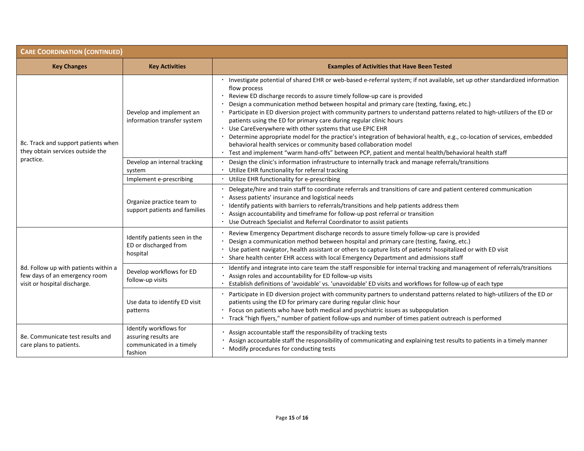| <b>CARE COORDINATION (CONTINUED)</b>                                                                  |                                                                                       |                                                                                                                                                                                                                                                                                                                                                                                                                                                                                                                                                                                                                                                                                                                                                                                                                                                                                          |  |  |
|-------------------------------------------------------------------------------------------------------|---------------------------------------------------------------------------------------|------------------------------------------------------------------------------------------------------------------------------------------------------------------------------------------------------------------------------------------------------------------------------------------------------------------------------------------------------------------------------------------------------------------------------------------------------------------------------------------------------------------------------------------------------------------------------------------------------------------------------------------------------------------------------------------------------------------------------------------------------------------------------------------------------------------------------------------------------------------------------------------|--|--|
| <b>Key Changes</b>                                                                                    | <b>Key Activities</b>                                                                 | <b>Examples of Activities that Have Been Tested</b>                                                                                                                                                                                                                                                                                                                                                                                                                                                                                                                                                                                                                                                                                                                                                                                                                                      |  |  |
| 8c. Track and support patients when<br>they obtain services outside the<br>practice.                  | Develop and implement an<br>information transfer system                               | · Investigate potential of shared EHR or web-based e-referral system; if not available, set up other standardized information<br>flow process<br>Review ED discharge records to assure timely follow-up care is provided<br>Design a communication method between hospital and primary care (texting, faxing, etc.)<br>Participate in ED diversion project with community partners to understand patterns related to high-utilizers of the ED or<br>patients using the ED for primary care during regular clinic hours<br>Use CareEverywhere with other systems that use EPIC EHR<br>Determine appropriate model for the practice's integration of behavioral health, e.g., co-location of services, embedded<br>behavioral health services or community based collaboration model<br>Test and implement "warm hand-offs" between PCP, patient and mental health/behavioral health staff |  |  |
|                                                                                                       | Develop an internal tracking<br>system                                                | Design the clinic's information infrastructure to internally track and manage referrals/transitions<br>Utilize EHR functionality for referral tracking                                                                                                                                                                                                                                                                                                                                                                                                                                                                                                                                                                                                                                                                                                                                   |  |  |
|                                                                                                       | Implement e-prescribing                                                               | Utilize EHR functionality for e-prescribing                                                                                                                                                                                                                                                                                                                                                                                                                                                                                                                                                                                                                                                                                                                                                                                                                                              |  |  |
|                                                                                                       | Organize practice team to<br>support patients and families                            | Delegate/hire and train staff to coordinate referrals and transitions of care and patient centered communication<br>Assess patients' insurance and logistical needs<br>Identify patients with barriers to referrals/transitions and help patients address them<br>· Assign accountability and timeframe for follow-up post referral or transition<br>• Use Outreach Specialist and Referral Coordinator to assist patients                                                                                                                                                                                                                                                                                                                                                                                                                                                               |  |  |
| 8d. Follow up with patients within a<br>few days of an emergency room<br>visit or hospital discharge. | Identify patients seen in the<br>ED or discharged from<br>hospital                    | Review Emergency Department discharge records to assure timely follow-up care is provided<br>Design a communication method between hospital and primary care (testing, faxing, etc.)<br>Use patient navigator, health assistant or others to capture lists of patients' hospitalized or with ED visit<br>Share health center EHR access with local Emergency Department and admissions staff                                                                                                                                                                                                                                                                                                                                                                                                                                                                                             |  |  |
|                                                                                                       | Develop workflows for ED<br>follow-up visits                                          | Identify and integrate into care team the staff responsible for internal tracking and management of referrals/transitions<br>Assign roles and accountability for ED follow-up visits<br>Establish definitions of 'avoidable' vs. 'unavoidable' ED visits and workflows for follow-up of each type                                                                                                                                                                                                                                                                                                                                                                                                                                                                                                                                                                                        |  |  |
|                                                                                                       | Use data to identify ED visit<br>patterns                                             | Participate in ED diversion project with community partners to understand patterns related to high-utilizers of the ED or<br>patients using the ED for primary care during regular clinic hour<br>Focus on patients who have both medical and psychiatric issues as subpopulation<br>Track "high flyers," number of patient follow-ups and number of times patient outreach is performed                                                                                                                                                                                                                                                                                                                                                                                                                                                                                                 |  |  |
| 8e. Communicate test results and<br>care plans to patients.                                           | Identify workflows for<br>assuring results are<br>communicated in a timely<br>fashion | · Assign accountable staff the responsibility of tracking tests<br>Assign accountable staff the responsibility of communicating and explaining test results to patients in a timely manner<br>· Modify procedures for conducting tests                                                                                                                                                                                                                                                                                                                                                                                                                                                                                                                                                                                                                                                   |  |  |